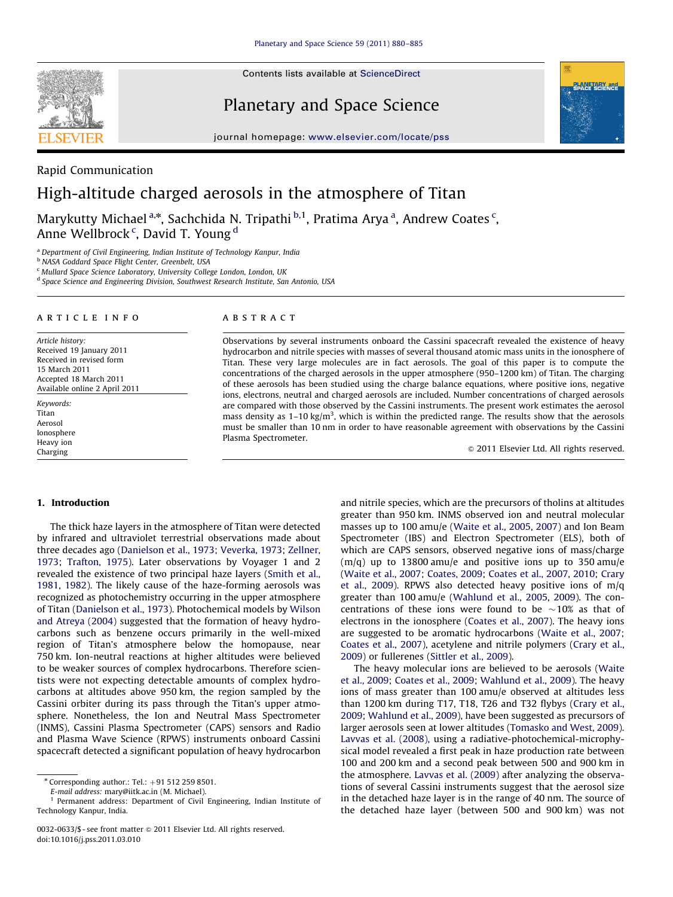Contents lists available at ScienceDirect

SEVIER

Planetary and Space Science



journal homepage: <www.elsevier.com/locate/pss>

## Rapid Communication

# High-altitude charged aerosols in the atmosphere of Titan

Marykutty Michael<sup>a,</sup>\*, Sachchida N. Tripathi <sup>b,1</sup>, Pratima Arya <sup>a</sup>, Andrew Coates <sup>c</sup>, Anne Wellbrock<sup>c</sup>, David T. Young <sup>d</sup>

<sup>a</sup> Department of Civil Engineering, Indian Institute of Technology Kanpur, India

**b NASA Goddard Space Flight Center, Greenbelt, USA** 

<sup>c</sup> Mullard Space Science Laboratory, University College London, London, UK

<sup>d</sup> Space Science and Engineering Division, Southwest Research Institute, San Antonio, USA

#### article info

Article history: Received 19 January 2011 Received in revised form 15 March 2011 Accepted 18 March 2011 Available online 2 April 2011

Keywords: Titan Aerosol Ionosphere Heavy ion Charging

#### **ABSTRACT**

Observations by several instruments onboard the Cassini spacecraft revealed the existence of heavy hydrocarbon and nitrile species with masses of several thousand atomic mass units in the ionosphere of Titan. These very large molecules are in fact aerosols. The goal of this paper is to compute the concentrations of the charged aerosols in the upper atmosphere (950–1200 km) of Titan. The charging of these aerosols has been studied using the charge balance equations, where positive ions, negative ions, electrons, neutral and charged aerosols are included. Number concentrations of charged aerosols are compared with those observed by the Cassini instruments. The present work estimates the aerosol mass density as  $1-10 \text{ kg/m}^3$ , which is within the predicted range. The results show that the aerosols must be smaller than 10 nm in order to have reasonable agreement with observations by the Cassini Plasma Spectrometer.

 $\odot$  2011 Elsevier Ltd. All rights reserved.

### 1. Introduction

The thick haze layers in the atmosphere of Titan were detected by infrared and ultraviolet terrestrial observations made about three decades ago [\(Danielson et al., 1973;](#page-5-0) [Veverka, 1973;](#page-5-0) [Zellner,](#page-5-0) [1973](#page-5-0); [Trafton, 1975](#page-5-0)). Later observations by Voyager 1 and 2 revealed the existence of two principal haze layers [\(Smith et al.,](#page-5-0) [1981](#page-5-0), [1982\)](#page-5-0). The likely cause of the haze-forming aerosols was recognized as photochemistry occurring in the upper atmosphere of Titan [\(Danielson et al., 1973](#page-5-0)). Photochemical models by [Wilson](#page-5-0) [and Atreya \(2004\)](#page-5-0) suggested that the formation of heavy hydrocarbons such as benzene occurs primarily in the well-mixed region of Titan's atmosphere below the homopause, near 750 km. Ion-neutral reactions at higher altitudes were believed to be weaker sources of complex hydrocarbons. Therefore scientists were not expecting detectable amounts of complex hydrocarbons at altitudes above 950 km, the region sampled by the Cassini orbiter during its pass through the Titan's upper atmosphere. Nonetheless, the Ion and Neutral Mass Spectrometer (INMS), Cassini Plasma Spectrometer (CAPS) sensors and Radio and Plasma Wave Science (RPWS) instruments onboard Cassini spacecraft detected a significant population of heavy hydrocarbon

E-mail address: [mary@iitk.ac.in \(M. Michael\)](mailto:mary@iitk.ac.in).

and nitrile species, which are the precursors of tholins at altitudes greater than 950 km. INMS observed ion and neutral molecular masses up to 100 amu/e ([Waite et al., 2005,](#page-5-0) [2007\)](#page-5-0) and Ion Beam Spectrometer (IBS) and Electron Spectrometer (ELS), both of which are CAPS sensors, observed negative ions of mass/charge  $(m/q)$  up to 13800 amu/e and positive ions up to 350 amu/e ([Waite et al., 2007;](#page-5-0) [Coates, 2009](#page-5-0); [Coates et al., 2007,](#page-5-0) [2010;](#page-5-0) [Crary](#page-5-0) [et al., 2009](#page-5-0)). RPWS also detected heavy positive ions of m/q greater than 100 amu/e [\(Wahlund et al., 2005,](#page-5-0) [2009](#page-5-0)). The concentrations of these ions were found to be  $\sim$ 10% as that of electrons in the ionosphere [\(Coates et al., 2007\)](#page-5-0). The heavy ions are suggested to be aromatic hydrocarbons [\(Waite et al., 2007;](#page-5-0) [Coates et al., 2007\)](#page-5-0), acetylene and nitrile polymers ([Crary et al.,](#page-5-0) [2009\)](#page-5-0) or fullerenes [\(Sittler et al., 2009\)](#page-5-0).

The heavy molecular ions are believed to be aerosols ([Waite](#page-5-0) [et al., 2009](#page-5-0); [Coates et al., 2009;](#page-5-0) [Wahlund et al., 2009\)](#page-5-0). The heavy ions of mass greater than 100 amu/e observed at altitudes less than 1200 km during T17, T18, T26 and T32 flybys ([Crary et al.,](#page-5-0) [2009;](#page-5-0) [Wahlund et al., 2009\)](#page-5-0), have been suggested as precursors of larger aerosols seen at lower altitudes ([Tomasko and West, 2009\)](#page-5-0). [Lavvas et al. \(2008\),](#page-5-0) using a radiative-photochemical-microphysical model revealed a first peak in haze production rate between 100 and 200 km and a second peak between 500 and 900 km in the atmosphere. [Lavvas et al. \(2009\)](#page-5-0) after analyzing the observations of several Cassini instruments suggest that the aerosol size in the detached haze layer is in the range of 40 nm. The source of the detached haze layer (between 500 and 900 km) was not

 $*$  Corresponding author.: Tel.:  $+91$  512 259 8501.

Permanent address: Department of Civil Engineering, Indian Institute of Technology Kanpur, India.

<sup>0032-0633/\$ -</sup> see front matter @ 2011 Elsevier Ltd. All rights reserved. doi:[10.1016/j.pss.2011.03.010](dx.doi.org/10.1016/j.pss.2011.03.010)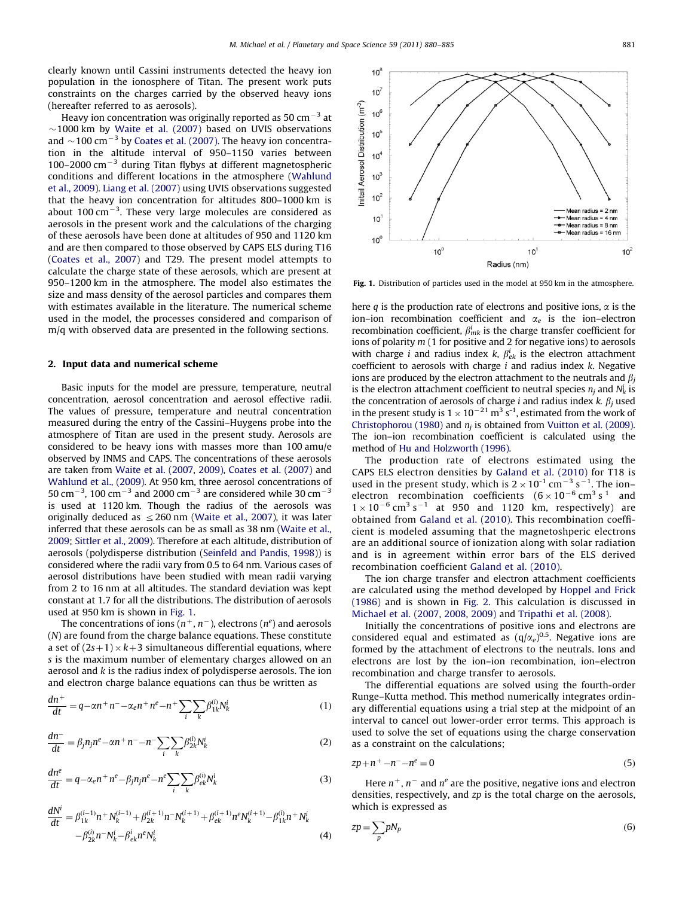clearly known until Cassini instruments detected the heavy ion population in the ionosphere of Titan. The present work puts constraints on the charges carried by the observed heavy ions (hereafter referred to as aerosols).

Heavy ion concentration was originally reported as 50 cm<sup> $-3$ </sup> at  $\sim$ 1000 km by [Waite et al. \(2007\)](#page-5-0) based on UVIS observations and  $\sim$  100 cm $^{-3}$  by [Coates et al. \(2007\)](#page-5-0). The heavy ion concentration in the altitude interval of 950–1150 varies between 100–2000  $\text{cm}^{-3}$  during Titan flybys at different magnetospheric conditions and different locations in the atmosphere [\(Wahlund](#page-5-0) [et al., 2009](#page-5-0)). [Liang et al. \(2007\)](#page-5-0) using UVIS observations suggested that the heavy ion concentration for altitudes 800–1000 km is about 100  $\text{cm}^{-3}$ . These very large molecules are considered as aerosols in the present work and the calculations of the charging of these aerosols have been done at altitudes of 950 and 1120 km and are then compared to those observed by CAPS ELS during T16 ([Coates et al., 2007\)](#page-5-0) and T29. The present model attempts to calculate the charge state of these aerosols, which are present at 950–1200 km in the atmosphere. The model also estimates the size and mass density of the aerosol particles and compares them with estimates available in the literature. The numerical scheme used in the model, the processes considered and comparison of m/q with observed data are presented in the following sections.

#### 2. Input data and numerical scheme

Basic inputs for the model are pressure, temperature, neutral concentration, aerosol concentration and aerosol effective radii. The values of pressure, temperature and neutral concentration measured during the entry of the Cassini–Huygens probe into the atmosphere of Titan are used in the present study. Aerosols are considered to be heavy ions with masses more than 100 amu/e observed by INMS and CAPS. The concentrations of these aerosols are taken from [Waite et al. \(2007](#page-5-0), [2009\),](#page-5-0) [Coates et al. \(2007\)](#page-5-0) and [Wahlund et al., \(2009\).](#page-5-0) At 950 km, three aerosol concentrations of 50 cm $^{-3}$ , 100 cm $^{-3}$  and 2000 cm $^{-3}$  are considered while 30 cm $^{-3}$ is used at 1120 km. Though the radius of the aerosols was originally deduced as  $\leq$  260 nm [\(Waite et al., 2007](#page-5-0)), it was later inferred that these aerosols can be as small as 38 nm [\(Waite et al.,](#page-5-0) [2009](#page-5-0); [Sittler et al., 2009](#page-5-0)). Therefore at each altitude, distribution of aerosols (polydisperse distribution ([Seinfeld and Pandis, 1998](#page-5-0))) is considered where the radii vary from 0.5 to 64 nm. Various cases of aerosol distributions have been studied with mean radii varying from 2 to 16 nm at all altitudes. The standard deviation was kept constant at 1.7 for all the distributions. The distribution of aerosols used at 950 km is shown in Fig. 1.

The concentrations of ions ( $n^+$ ,  $n^-$ ), electrons ( $n^e$ ) and aerosols (N) are found from the charge balance equations. These constitute a set of  $(2s+1) \times k+3$  simultaneous differential equations, where s is the maximum number of elementary charges allowed on an aerosol and k is the radius index of polydisperse aerosols. The ion and electron charge balance equations can thus be written as

$$
\frac{dn^{+}}{dt} = q - \alpha n^{+} n^{-} - \alpha_{e} n^{+} n^{e} - n^{+} \sum_{i} \sum_{k} \beta_{1k}^{(i)} N_{k}^{i}
$$
 (1)

$$
\frac{dn^{-}}{dt} = \beta_j n_j n^e - \alpha n + n^{-} - n^{-} \sum_{i} \sum_{k} \beta_{2k}^{(i)} N_k^i
$$
 (2)

$$
\frac{dn^e}{dt} = q - \alpha_e n^+ n^e - \beta_j n_j n^e - n^e \sum_i \sum_k \beta_{ek}^{(i)} N_k^i
$$
\n(3)

$$
\frac{dN^{i}}{dt} = \beta_{1k}^{(i-1)}n + N_{k}^{(i-1)} + \beta_{2k}^{(i+1)}n - N_{k}^{(i+1)} + \beta_{ek}^{(i+1)}n^{e}N_{k}^{(i+1)} - \beta_{1k}^{(i)}n + N_{k}^{i}
$$
\n
$$
- \beta_{2k}^{(i)}n - N_{k}^{i} - \beta_{ek}^{i}n^{e}N_{k}^{i}
$$
\n(4)



Fig. 1. Distribution of particles used in the model at 950 km in the atmosphere.

here q is the production rate of electrons and positive ions,  $\alpha$  is the ion–ion recombination coefficient and  $\alpha_e$  is the ion–electron recombination coefficient,  $\beta_{mk}^i$  is the charge transfer coefficient for ions of polarity  $m(1$  for positive and 2 for negative ions) to aerosols with charge *i* and radius index *k*,  $\beta_{ek}^{i}$  is the electron attachment coefficient to aerosols with charge  $i$  and radius index  $k$ . Negative ions are produced by the electron attachment to the neutrals and  $\beta_i$ is the electron attachment coefficient to neutral species  $n_j$  and  $N_k^i$  is the concentration of aerosols of charge *i* and radius index  $k$ .  $\beta$ <sub>*i*</sub> used in the present study is  $1 \times 10^{-21}$  m<sup>3</sup> s<sup>-1</sup>, estimated from the work of [Christophorou \(1980\)](#page-5-0) and  $n_i$  is obtained from [Vuitton et al. \(2009\).](#page-5-0) The ion–ion recombination coefficient is calculated using the method of [Hu and Holzworth \(1996\).](#page-5-0)

The production rate of electrons estimated using the CAPS ELS electron densities by [Galand et al. \(2010\)](#page-5-0) for T18 is used in the present study, which is  $2 \times 10^{-1}$  cm<sup>-3</sup> s<sup>-1</sup>. The ionelectron recombination coefficients  $(6 \times 10^{-6} \text{ cm}^3 \text{ s}^1$  and  $1 \times 10^{-6}$  cm<sup>3</sup> s<sup>-1</sup> at 950 and 1120 km, respectively) are obtained from [Galand et al. \(2010\).](#page-5-0) This recombination coefficient is modeled assuming that the magnetoshperic electrons are an additional source of ionization along with solar radiation and is in agreement within error bars of the ELS derived recombination coefficient [Galand et al. \(2010\).](#page-5-0)

The ion charge transfer and electron attachment coefficients are calculated using the method developed by [Hoppel and Frick](#page-5-0) [\(1986\)](#page-5-0) and is shown in [Fig. 2](#page-2-0). This calculation is discussed in [Michael et al. \(2007,](#page-5-0) [2008](#page-5-0), [2009\)](#page-5-0) and [Tripathi et al. \(2008\)](#page-5-0).

Initially the concentrations of positive ions and electrons are considered equal and estimated as  $(q/\alpha_e)^{0.5}$ . Negative ions are formed by the attachment of electrons to the neutrals. Ions and electrons are lost by the ion–ion recombination, ion–electron recombination and charge transfer to aerosols.

The differential equations are solved using the fourth-order Runge–Kutta method. This method numerically integrates ordinary differential equations using a trial step at the midpoint of an interval to cancel out lower-order error terms. This approach is used to solve the set of equations using the charge conservation as a constraint on the calculations;

$$
zp + n^+ - n^- - n^e = 0\tag{5}
$$

Here  $n^+$ ,  $n^-$  and  $n^e$  are the positive, negative ions and electron densities, respectively, and zp is the total charge on the aerosols, which is expressed as

$$
zp = \sum_{p} pN_p \tag{6}
$$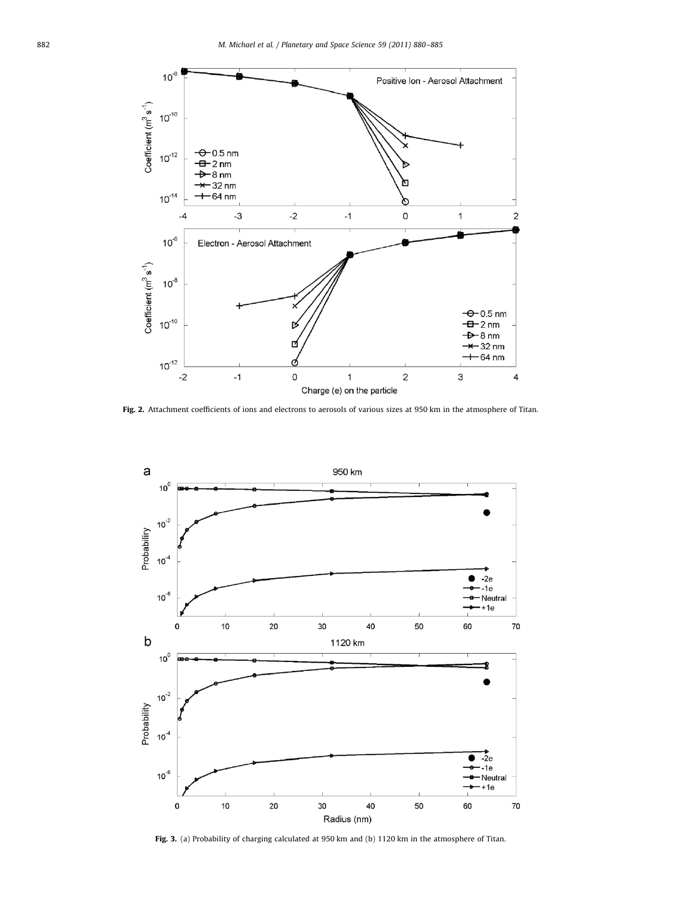<span id="page-2-0"></span>

Fig. 2. Attachment coefficients of ions and electrons to aerosols of various sizes at 950 km in the atmosphere of Titan.



Fig. 3. (a) Probability of charging calculated at 950 km and (b) 1120 km in the atmosphere of Titan.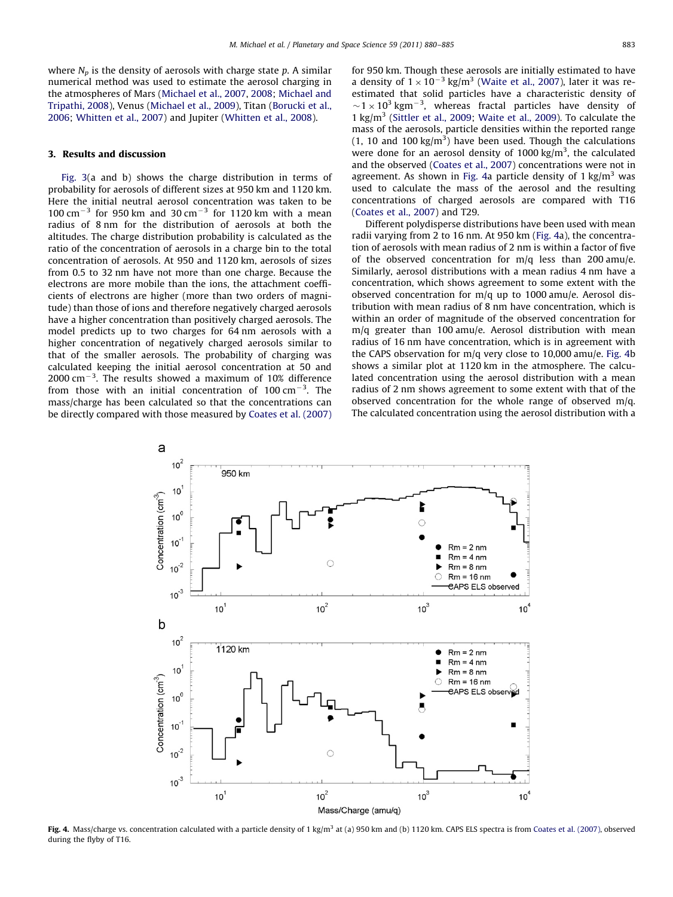<span id="page-3-0"></span>where  $N_p$  is the density of aerosols with charge state p. A similar numerical method was used to estimate the aerosol charging in the atmospheres of Mars [\(Michael et al., 2007,](#page-5-0) [2008](#page-5-0); [Michael and](#page-5-0) [Tripathi, 2008](#page-5-0)), Venus [\(Michael et al., 2009\)](#page-5-0), Titan [\(Borucki et al.,](#page-5-0) [2006;](#page-5-0) [Whitten et al., 2007\)](#page-5-0) and Jupiter [\(Whitten et al., 2008](#page-5-0)).

#### 3. Results and discussion

[Fig. 3](#page-2-0)(a and b) shows the charge distribution in terms of probability for aerosols of different sizes at 950 km and 1120 km. Here the initial neutral aerosol concentration was taken to be 100 cm<sup>-3</sup> for 950 km and 30 cm<sup>-3</sup> for 1120 km with a mean radius of 8 nm for the distribution of aerosols at both the altitudes. The charge distribution probability is calculated as the ratio of the concentration of aerosols in a charge bin to the total concentration of aerosols. At 950 and 1120 km, aerosols of sizes from 0.5 to 32 nm have not more than one charge. Because the electrons are more mobile than the ions, the attachment coefficients of electrons are higher (more than two orders of magnitude) than those of ions and therefore negatively charged aerosols have a higher concentration than positively charged aerosols. The model predicts up to two charges for 64 nm aerosols with a higher concentration of negatively charged aerosols similar to that of the smaller aerosols. The probability of charging was calculated keeping the initial aerosol concentration at 50 and  $2000$  cm<sup> $-3$ </sup>. The results showed a maximum of 10% difference from those with an initial concentration of  $100 \text{ cm}^{-3}$ . The mass/charge has been calculated so that the concentrations can be directly compared with those measured by [Coates et al. \(2007\)](#page-5-0) for 950 km. Though these aerosols are initially estimated to have a density of  $1 \times 10^{-3}$  kg/m<sup>3</sup> ([Waite et al., 2007\)](#page-5-0), later it was reestimated that solid particles have a characteristic density of  $\sim$ 1  $\times$  10<sup>3</sup> kgm<sup>-3</sup>, whereas fractal particles have density of 1 kg/m3 ([Sittler et al., 2009](#page-5-0); [Waite et al., 2009\)](#page-5-0). To calculate the mass of the aerosols, particle densities within the reported range  $(1, 10$  and  $100 \text{ kg/m}^3)$  have been used. Though the calculations were done for an aerosol density of  $1000 \text{ kg/m}^3$ , the calculated and the observed [\(Coates et al., 2007](#page-5-0)) concentrations were not in agreement. As shown in Fig. 4a particle density of 1  $\text{kg/m}^3$  was used to calculate the mass of the aerosol and the resulting concentrations of charged aerosols are compared with T16 ([Coates et al., 2007](#page-5-0)) and T29.

Different polydisperse distributions have been used with mean radii varying from 2 to 16 nm. At 950 km (Fig. 4a), the concentration of aerosols with mean radius of 2 nm is within a factor of five of the observed concentration for  $m/q$  less than 200 amu/e. Similarly, aerosol distributions with a mean radius 4 nm have a concentration, which shows agreement to some extent with the observed concentration for m/q up to 1000 amu/e. Aerosol distribution with mean radius of 8 nm have concentration, which is within an order of magnitude of the observed concentration for m/q greater than 100 amu/e. Aerosol distribution with mean radius of 16 nm have concentration, which is in agreement with the CAPS observation for m/q very close to 10,000 amu/e. Fig. 4b shows a similar plot at 1120 km in the atmosphere. The calculated concentration using the aerosol distribution with a mean radius of 2 nm shows agreement to some extent with that of the observed concentration for the whole range of observed m/q. The calculated concentration using the aerosol distribution with a



Fig. 4. Mass/charge vs. concentration calculated with a particle density of 1 kg/m<sup>3</sup> at (a) 950 km and (b) 1120 km. CAPS ELS spectra is from [Coates et al. \(2007\)](#page-5-0), observed during the flyby of T16.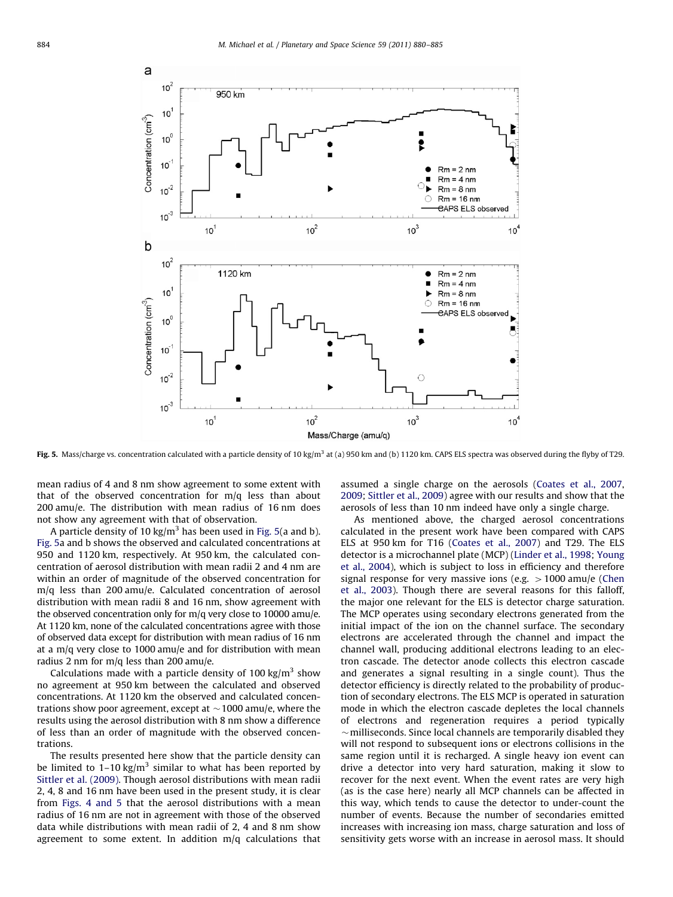

Fig. 5. Mass/charge vs. concentration calculated with a particle density of 10 kg/m<sup>3</sup> at (a) 950 km and (b) 1120 km. CAPS ELS spectra was observed during the flyby of T29.

mean radius of 4 and 8 nm show agreement to some extent with that of the observed concentration for m/q less than about 200 amu/e. The distribution with mean radius of 16 nm does not show any agreement with that of observation.

A particle density of 10 kg/m<sup>3</sup> has been used in Fig. 5(a and b). Fig. 5a and b shows the observed and calculated concentrations at 950 and 1120 km, respectively. At 950 km, the calculated concentration of aerosol distribution with mean radii 2 and 4 nm are within an order of magnitude of the observed concentration for m/q less than 200 amu/e. Calculated concentration of aerosol distribution with mean radii 8 and 16 nm, show agreement with the observed concentration only for m/q very close to 10000 amu/e. At 1120 km, none of the calculated concentrations agree with those of observed data except for distribution with mean radius of 16 nm at a m/q very close to 1000 amu/e and for distribution with mean radius 2 nm for m/q less than 200 amu/e.

Calculations made with a particle density of 100 kg/ $m<sup>3</sup>$  show no agreement at 950 km between the calculated and observed concentrations. At 1120 km the observed and calculated concentrations show poor agreement, except at  $\sim$  1000 amu/e, where the results using the aerosol distribution with 8 nm show a difference of less than an order of magnitude with the observed concentrations.

The results presented here show that the particle density can be limited to  $1-10 \text{ kg/m}^3$  similar to what has been reported by [Sittler et al. \(2009\).](#page-5-0) Though aerosol distributions with mean radii 2, 4, 8 and 16 nm have been used in the present study, it is clear from [Figs. 4 and 5](#page-3-0) that the aerosol distributions with a mean radius of 16 nm are not in agreement with those of the observed data while distributions with mean radii of 2, 4 and 8 nm show agreement to some extent. In addition m/q calculations that

assumed a single charge on the aerosols [\(Coates et al., 2007,](#page-5-0) [2009;](#page-5-0) [Sittler et al., 2009\)](#page-5-0) agree with our results and show that the aerosols of less than 10 nm indeed have only a single charge.

As mentioned above, the charged aerosol concentrations calculated in the present work have been compared with CAPS ELS at 950 km for T16 [\(Coates et al., 2007](#page-5-0)) and T29. The ELS detector is a microchannel plate (MCP) [\(Linder et al., 1998](#page-5-0); [Young](#page-5-0) [et al., 2004](#page-5-0)), which is subject to loss in efficiency and therefore signal response for very massive ions (e.g.  $>1000$  amu/e [\(Chen](#page-5-0) [et al., 2003](#page-5-0)). Though there are several reasons for this falloff, the major one relevant for the ELS is detector charge saturation. The MCP operates using secondary electrons generated from the initial impact of the ion on the channel surface. The secondary electrons are accelerated through the channel and impact the channel wall, producing additional electrons leading to an electron cascade. The detector anode collects this electron cascade and generates a signal resulting in a single count). Thus the detector efficiency is directly related to the probability of production of secondary electrons. The ELS MCP is operated in saturation mode in which the electron cascade depletes the local channels of electrons and regeneration requires a period typically  $\sim$ milliseconds. Since local channels are temporarily disabled they will not respond to subsequent ions or electrons collisions in the same region until it is recharged. A single heavy ion event can drive a detector into very hard saturation, making it slow to recover for the next event. When the event rates are very high (as is the case here) nearly all MCP channels can be affected in this way, which tends to cause the detector to under-count the number of events. Because the number of secondaries emitted increases with increasing ion mass, charge saturation and loss of sensitivity gets worse with an increase in aerosol mass. It should